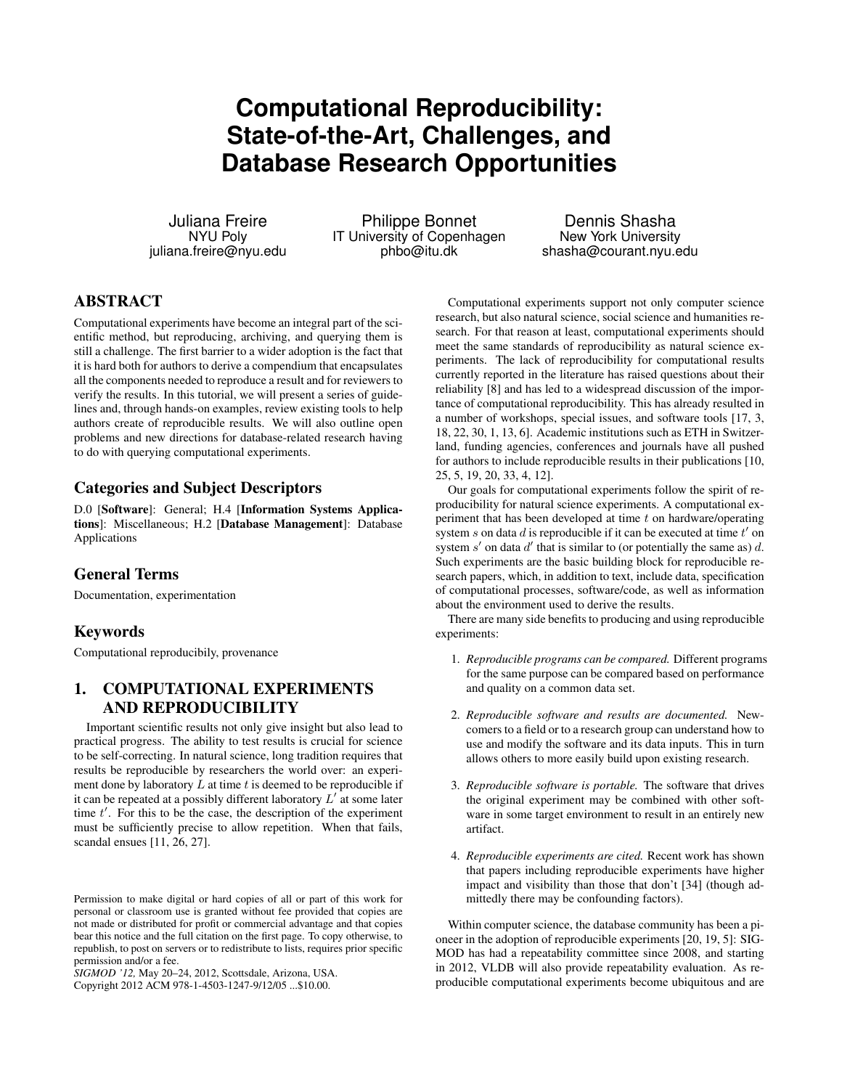# **Computational Reproducibility: State-of-the-Art, Challenges, and Database Research Opportunities**

Juliana Freire NYU Poly juliana.freire@nyu.edu

Philippe Bonnet IT University of Copenhagen phbo@itu.dk

Dennis Shasha New York University shasha@courant.nyu.edu

# ABSTRACT

Computational experiments have become an integral part of the scientific method, but reproducing, archiving, and querying them is still a challenge. The first barrier to a wider adoption is the fact that it is hard both for authors to derive a compendium that encapsulates all the components needed to reproduce a result and for reviewers to verify the results. In this tutorial, we will present a series of guidelines and, through hands-on examples, review existing tools to help authors create of reproducible results. We will also outline open problems and new directions for database-related research having to do with querying computational experiments.

#### Categories and Subject Descriptors

D.0 [Software]: General; H.4 [Information Systems Applications]: Miscellaneous; H.2 [Database Management]: Database Applications

#### General Terms

Documentation, experimentation

#### Keywords

Computational reproducibily, provenance

# 1. COMPUTATIONAL EXPERIMENTS AND REPRODUCIBILITY

Important scientific results not only give insight but also lead to practical progress. The ability to test results is crucial for science to be self-correcting. In natural science, long tradition requires that results be reproducible by researchers the world over: an experiment done by laboratory  $L$  at time  $t$  is deemed to be reproducible if it can be repeated at a possibly different laboratory  $L'$  at some later time  $t'$ . For this to be the case, the description of the experiment must be sufficiently precise to allow repetition. When that fails, scandal ensues [11, 26, 27].

Copyright 2012 ACM 978-1-4503-1247-9/12/05 ...\$10.00.

Computational experiments support not only computer science research, but also natural science, social science and humanities research. For that reason at least, computational experiments should meet the same standards of reproducibility as natural science experiments. The lack of reproducibility for computational results currently reported in the literature has raised questions about their reliability [8] and has led to a widespread discussion of the importance of computational reproducibility. This has already resulted in a number of workshops, special issues, and software tools [17, 3, 18, 22, 30, 1, 13, 6]. Academic institutions such as ETH in Switzerland, funding agencies, conferences and journals have all pushed for authors to include reproducible results in their publications [10, 25, 5, 19, 20, 33, 4, 12].

Our goals for computational experiments follow the spirit of reproducibility for natural science experiments. A computational experiment that has been developed at time  $t$  on hardware/operating system s on data d is reproducible if it can be executed at time  $t'$  on system  $s'$  on data  $d'$  that is similar to (or potentially the same as)  $d$ . Such experiments are the basic building block for reproducible research papers, which, in addition to text, include data, specification of computational processes, software/code, as well as information about the environment used to derive the results.

There are many side benefits to producing and using reproducible experiments:

- 1. *Reproducible programs can be compared.* Different programs for the same purpose can be compared based on performance and quality on a common data set.
- 2. *Reproducible software and results are documented.* Newcomers to a field or to a research group can understand how to use and modify the software and its data inputs. This in turn allows others to more easily build upon existing research.
- 3. *Reproducible software is portable.* The software that drives the original experiment may be combined with other software in some target environment to result in an entirely new artifact.
- 4. *Reproducible experiments are cited.* Recent work has shown that papers including reproducible experiments have higher impact and visibility than those that don't [34] (though admittedly there may be confounding factors).

Within computer science, the database community has been a pioneer in the adoption of reproducible experiments [20, 19, 5]: SIG-MOD has had a repeatability committee since 2008, and starting in 2012, VLDB will also provide repeatability evaluation. As reproducible computational experiments become ubiquitous and are

Permission to make digital or hard copies of all or part of this work for personal or classroom use is granted without fee provided that copies are not made or distributed for profit or commercial advantage and that copies bear this notice and the full citation on the first page. To copy otherwise, to republish, to post on servers or to redistribute to lists, requires prior specific permission and/or a fee.

*SIGMOD '12,* May 20–24, 2012, Scottsdale, Arizona, USA.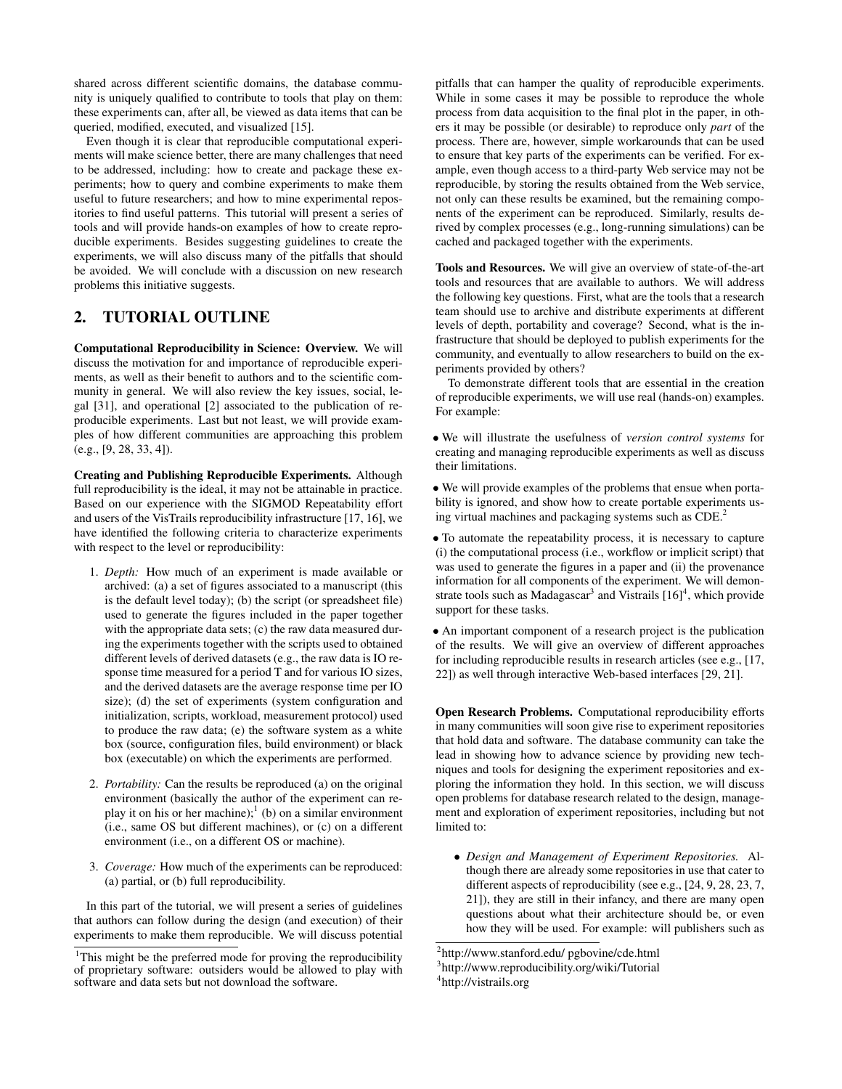shared across different scientific domains, the database community is uniquely qualified to contribute to tools that play on them: these experiments can, after all, be viewed as data items that can be queried, modified, executed, and visualized [15].

Even though it is clear that reproducible computational experiments will make science better, there are many challenges that need to be addressed, including: how to create and package these experiments; how to query and combine experiments to make them useful to future researchers; and how to mine experimental repositories to find useful patterns. This tutorial will present a series of tools and will provide hands-on examples of how to create reproducible experiments. Besides suggesting guidelines to create the experiments, we will also discuss many of the pitfalls that should be avoided. We will conclude with a discussion on new research problems this initiative suggests.

## 2. TUTORIAL OUTLINE

Computational Reproducibility in Science: Overview. We will discuss the motivation for and importance of reproducible experiments, as well as their benefit to authors and to the scientific community in general. We will also review the key issues, social, legal [31], and operational [2] associated to the publication of reproducible experiments. Last but not least, we will provide examples of how different communities are approaching this problem (e.g., [9, 28, 33, 4]).

Creating and Publishing Reproducible Experiments. Although full reproducibility is the ideal, it may not be attainable in practice. Based on our experience with the SIGMOD Repeatability effort and users of the VisTrails reproducibility infrastructure [17, 16], we have identified the following criteria to characterize experiments with respect to the level or reproducibility:

- 1. *Depth:* How much of an experiment is made available or archived: (a) a set of figures associated to a manuscript (this is the default level today); (b) the script (or spreadsheet file) used to generate the figures included in the paper together with the appropriate data sets; (c) the raw data measured during the experiments together with the scripts used to obtained different levels of derived datasets (e.g., the raw data is IO response time measured for a period T and for various IO sizes, and the derived datasets are the average response time per IO size); (d) the set of experiments (system configuration and initialization, scripts, workload, measurement protocol) used to produce the raw data; (e) the software system as a white box (source, configuration files, build environment) or black box (executable) on which the experiments are performed.
- 2. *Portability:* Can the results be reproduced (a) on the original environment (basically the author of the experiment can replay it on his or her machine);<sup>1</sup> (b) on a similar environment (i.e., same OS but different machines), or (c) on a different environment (i.e., on a different OS or machine).
- 3. *Coverage:* How much of the experiments can be reproduced: (a) partial, or (b) full reproducibility.

In this part of the tutorial, we will present a series of guidelines that authors can follow during the design (and execution) of their experiments to make them reproducible. We will discuss potential pitfalls that can hamper the quality of reproducible experiments. While in some cases it may be possible to reproduce the whole process from data acquisition to the final plot in the paper, in others it may be possible (or desirable) to reproduce only *part* of the process. There are, however, simple workarounds that can be used to ensure that key parts of the experiments can be verified. For example, even though access to a third-party Web service may not be reproducible, by storing the results obtained from the Web service, not only can these results be examined, but the remaining components of the experiment can be reproduced. Similarly, results derived by complex processes (e.g., long-running simulations) can be cached and packaged together with the experiments.

Tools and Resources. We will give an overview of state-of-the-art tools and resources that are available to authors. We will address the following key questions. First, what are the tools that a research team should use to archive and distribute experiments at different levels of depth, portability and coverage? Second, what is the infrastructure that should be deployed to publish experiments for the community, and eventually to allow researchers to build on the experiments provided by others?

To demonstrate different tools that are essential in the creation of reproducible experiments, we will use real (hands-on) examples. For example:

- We will illustrate the usefulness of *version control systems* for creating and managing reproducible experiments as well as discuss their limitations.
- We will provide examples of the problems that ensue when portability is ignored, and show how to create portable experiments using virtual machines and packaging systems such as CDE.<sup>2</sup>
- To automate the repeatability process, it is necessary to capture (i) the computational process (i.e., workflow or implicit script) that was used to generate the figures in a paper and (ii) the provenance information for all components of the experiment. We will demonstrate tools such as Madagascar<sup>3</sup> and Vistrails  $[16]^{4}$ , which provide support for these tasks.

• An important component of a research project is the publication of the results. We will give an overview of different approaches for including reproducible results in research articles (see e.g., [17, 22]) as well through interactive Web-based interfaces [29, 21].

Open Research Problems. Computational reproducibility efforts in many communities will soon give rise to experiment repositories that hold data and software. The database community can take the lead in showing how to advance science by providing new techniques and tools for designing the experiment repositories and exploring the information they hold. In this section, we will discuss open problems for database research related to the design, management and exploration of experiment repositories, including but not limited to:

• *Design and Management of Experiment Repositories.* Although there are already some repositories in use that cater to different aspects of reproducibility (see e.g., [24, 9, 28, 23, 7, 21]), they are still in their infancy, and there are many open questions about what their architecture should be, or even how they will be used. For example: will publishers such as

<sup>&</sup>lt;sup>1</sup>This might be the preferred mode for proving the reproducibility of proprietary software: outsiders would be allowed to play with software and data sets but not download the software.

<sup>&</sup>lt;sup>2</sup>http://www.stanford.edu/ pgbovine/cde.html 3 http://www.reproducibility.org/wiki/Tutorial 4 http://vistrails.org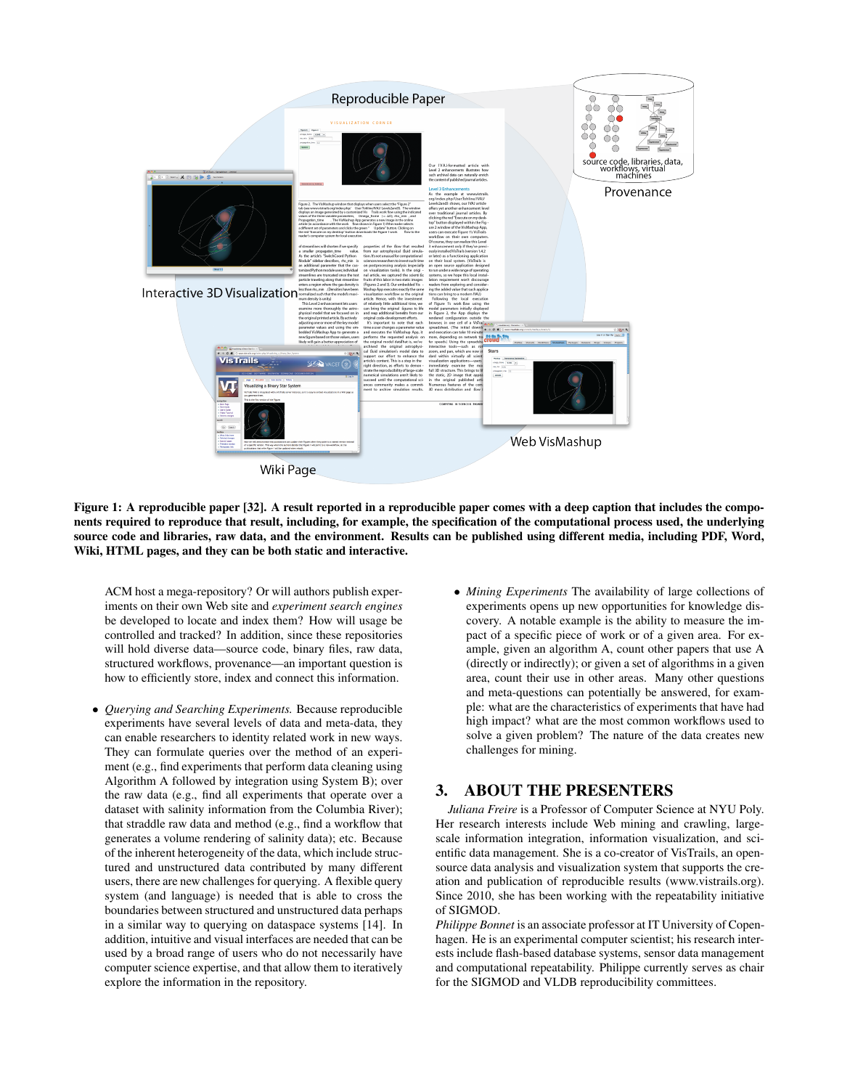

Figure 1: A reproducible paper [32]. A result reported in a reproducible paper comes with a deep caption that includes the components required to reproduce that result, including, for example, the specification of the computational process used, the underlying source code and libraries, raw data, and the environment. Results can be published using different media, including PDF, Word, Wiki, HTML pages, and they can be both static and interactive.

ACM host a mega-repository? Or will authors publish experiments on their own Web site and *experiment search engines* be developed to locate and index them? How will usage be controlled and tracked? In addition, since these repositories will hold diverse data—source code, binary files, raw data, structured workflows, provenance—an important question is how to efficiently store, index and connect this information.

- *Querying and Searching Experiments.* Because reproducible experiments have several levels of data and meta-data, they can enable researchers to identity related work in new ways. They can formulate queries over the method of an experiment (e.g., find experiments that perform data cleaning using Algorithm A followed by integration using System B); over the raw data (e.g., find all experiments that operate over a dataset with salinity information from the Columbia River); that straddle raw data and method (e.g., find a workflow that generates a volume rendering of salinity data); etc. Because of the inherent heterogeneity of the data, which include structured and unstructured data contributed by many different users, there are new challenges for querying. A flexible query system (and language) is needed that is able to cross the boundaries between structured and unstructured data perhaps in a similar way to querying on dataspace systems [14]. In addition, intuitive and visual interfaces are needed that can be used by a broad range of users who do not necessarily have computer science expertise, and that allow them to iteratively explore the information in the repository.
- *Mining Experiments* The availability of large collections of experiments opens up new opportunities for knowledge discovery. A notable example is the ability to measure the impact of a specific piece of work or of a given area. For example, given an algorithm A, count other papers that use A (directly or indirectly); or given a set of algorithms in a given area, count their use in other areas. Many other questions and meta-questions can potentially be answered, for example: what are the characteristics of experiments that have had high impact? what are the most common workflows used to solve a given problem? The nature of the data creates new challenges for mining.

### 3. ABOUT THE PRESENTERS

*Juliana Freire* is a Professor of Computer Science at NYU Poly. Her research interests include Web mining and crawling, largescale information integration, information visualization, and scientific data management. She is a co-creator of VisTrails, an opensource data analysis and visualization system that supports the creation and publication of reproducible results (www.vistrails.org). Since 2010, she has been working with the repeatability initiative of SIGMOD.

*Philippe Bonnet* is an associate professor at IT University of Copenhagen. He is an experimental computer scientist; his research interests include flash-based database systems, sensor data management and computational repeatability. Philippe currently serves as chair for the SIGMOD and VLDB reproducibility committees.